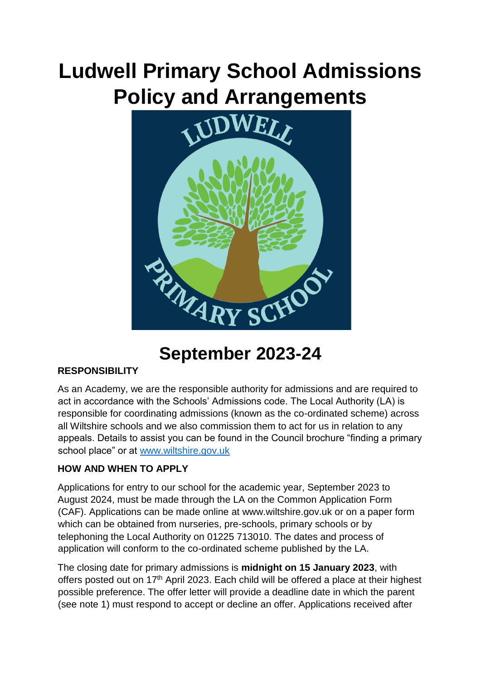# **Ludwell Primary School Admissions Policy and Arrangements**



# **September 2023-24**

# **RESPONSIBILITY**

As an Academy, we are the responsible authority for admissions and are required to act in accordance with the Schools' Admissions code. The Local Authority (LA) is responsible for coordinating admissions (known as the co-ordinated scheme) across all Wiltshire schools and we also commission them to act for us in relation to any appeals. Details to assist you can be found in the Council brochure "finding a primary school place" or at [www.wiltshire.gov.uk](http://www.wiltshire.gov.uk/)

# **HOW AND WHEN TO APPLY**

Applications for entry to our school for the academic year, September 2023 to August 2024, must be made through the LA on the Common Application Form (CAF). Applications can be made online at www.wiltshire.gov.uk or on a paper form which can be obtained from nurseries, pre-schools, primary schools or by telephoning the Local Authority on 01225 713010. The dates and process of application will conform to the co-ordinated scheme published by the LA.

The closing date for primary admissions is **midnight on 15 January 2023**, with offers posted out on 17<sup>th</sup> April 2023. Each child will be offered a place at their highest possible preference. The offer letter will provide a deadline date in which the parent (see note 1) must respond to accept or decline an offer. Applications received after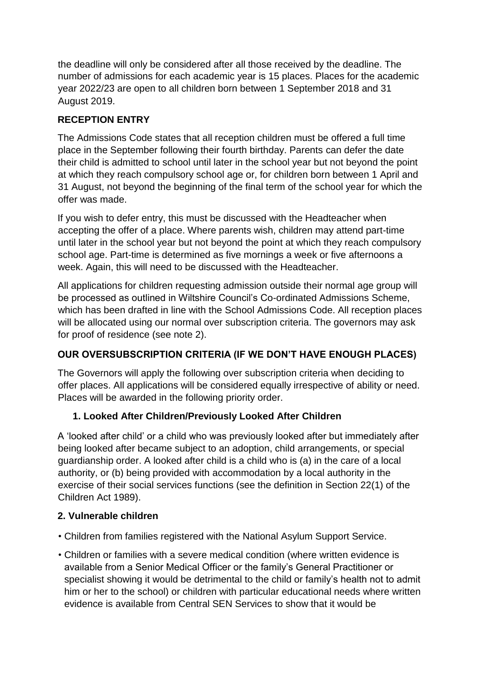the deadline will only be considered after all those received by the deadline. The number of admissions for each academic year is 15 places. Places for the academic year 2022/23 are open to all children born between 1 September 2018 and 31 August 2019.

# **RECEPTION ENTRY**

The Admissions Code states that all reception children must be offered a full time place in the September following their fourth birthday. Parents can defer the date their child is admitted to school until later in the school year but not beyond the point at which they reach compulsory school age or, for children born between 1 April and 31 August, not beyond the beginning of the final term of the school year for which the offer was made.

If you wish to defer entry, this must be discussed with the Headteacher when accepting the offer of a place. Where parents wish, children may attend part-time until later in the school year but not beyond the point at which they reach compulsory school age. Part-time is determined as five mornings a week or five afternoons a week. Again, this will need to be discussed with the Headteacher.

All applications for children requesting admission outside their normal age group will be processed as outlined in Wiltshire Council's Co-ordinated Admissions Scheme, which has been drafted in line with the School Admissions Code. All reception places will be allocated using our normal over subscription criteria. The governors may ask for proof of residence (see note 2).

# **OUR OVERSUBSCRIPTION CRITERIA (IF WE DON'T HAVE ENOUGH PLACES)**

The Governors will apply the following over subscription criteria when deciding to offer places. All applications will be considered equally irrespective of ability or need. Places will be awarded in the following priority order.

# **1. Looked After Children/Previously Looked After Children**

A 'looked after child' or a child who was previously looked after but immediately after being looked after became subject to an adoption, child arrangements, or special guardianship order. A looked after child is a child who is (a) in the care of a local authority, or (b) being provided with accommodation by a local authority in the exercise of their social services functions (see the definition in Section 22(1) of the Children Act 1989).

# **2. Vulnerable children**

- Children from families registered with the National Asylum Support Service.
- Children or families with a severe medical condition (where written evidence is available from a Senior Medical Officer or the family's General Practitioner or specialist showing it would be detrimental to the child or family's health not to admit him or her to the school) or children with particular educational needs where written evidence is available from Central SEN Services to show that it would be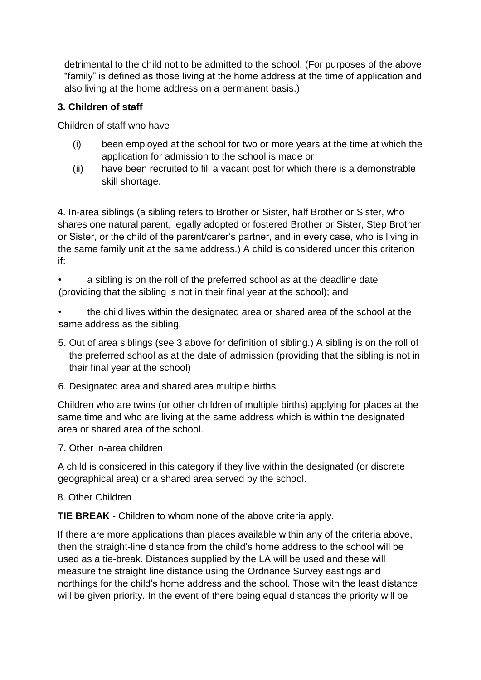detrimental to the child not to be admitted to the school. (For purposes of the above "family" is defined as those living at the home address at the time of application and also living at the home address on a permanent basis.)

#### **3. Children of staff**

Children of staff who have

- (i) been employed at the school for two or more years at the time at which the application for admission to the school is made or
- (ii) have been recruited to fill a vacant post for which there is a demonstrable skill shortage.

4. In-area siblings (a sibling refers to Brother or Sister, half Brother or Sister, who shares one natural parent, legally adopted or fostered Brother or Sister, Step Brother or Sister, or the child of the parent/carer's partner, and in every case, who is living in the same family unit at the same address.) A child is considered under this criterion if:

• a sibling is on the roll of the preferred school as at the deadline date (providing that the sibling is not in their final year at the school); and

• the child lives within the designated area or shared area of the school at the same address as the sibling.

- 5. Out of area siblings (see 3 above for definition of sibling.) A sibling is on the roll of the preferred school as at the date of admission (providing that the sibling is not in their final year at the school)
- 6. Designated area and shared area multiple births

Children who are twins (or other children of multiple births) applying for places at the same time and who are living at the same address which is within the designated area or shared area of the school.

7. Other in-area children

A child is considered in this category if they live within the designated (or discrete geographical area) or a shared area served by the school.

#### 8. Other Children

**TIE BREAK** - Children to whom none of the above criteria apply.

If there are more applications than places available within any of the criteria above, then the straight-line distance from the child's home address to the school will be used as a tie-break. Distances supplied by the LA will be used and these will measure the straight line distance using the Ordnance Survey eastings and northings for the child's home address and the school. Those with the least distance will be given priority. In the event of there being equal distances the priority will be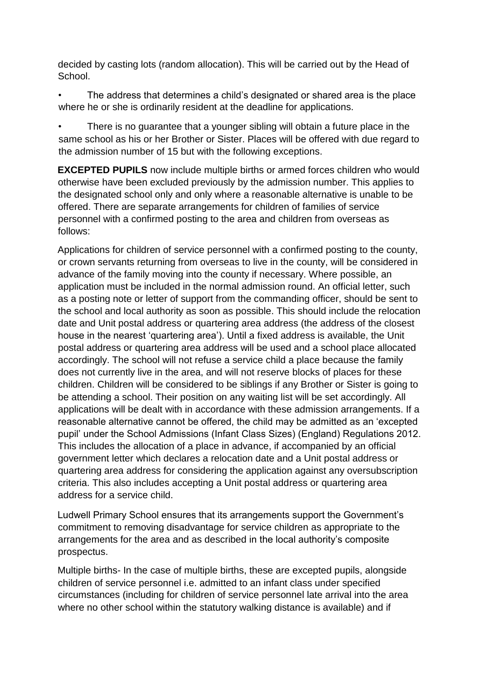decided by casting lots (random allocation). This will be carried out by the Head of School.

• The address that determines a child's designated or shared area is the place where he or she is ordinarily resident at the deadline for applications.

There is no guarantee that a younger sibling will obtain a future place in the same school as his or her Brother or Sister. Places will be offered with due regard to the admission number of 15 but with the following exceptions.

**EXCEPTED PUPILS** now include multiple births or armed forces children who would otherwise have been excluded previously by the admission number. This applies to the designated school only and only where a reasonable alternative is unable to be offered. There are separate arrangements for children of families of service personnel with a confirmed posting to the area and children from overseas as follows:

Applications for children of service personnel with a confirmed posting to the county, or crown servants returning from overseas to live in the county, will be considered in advance of the family moving into the county if necessary. Where possible, an application must be included in the normal admission round. An official letter, such as a posting note or letter of support from the commanding officer, should be sent to the school and local authority as soon as possible. This should include the relocation date and Unit postal address or quartering area address (the address of the closest house in the nearest 'quartering area'). Until a fixed address is available, the Unit postal address or quartering area address will be used and a school place allocated accordingly. The school will not refuse a service child a place because the family does not currently live in the area, and will not reserve blocks of places for these children. Children will be considered to be siblings if any Brother or Sister is going to be attending a school. Their position on any waiting list will be set accordingly. All applications will be dealt with in accordance with these admission arrangements. If a reasonable alternative cannot be offered, the child may be admitted as an 'excepted pupil' under the School Admissions (Infant Class Sizes) (England) Regulations 2012. This includes the allocation of a place in advance, if accompanied by an official government letter which declares a relocation date and a Unit postal address or quartering area address for considering the application against any oversubscription criteria. This also includes accepting a Unit postal address or quartering area address for a service child.

Ludwell Primary School ensures that its arrangements support the Government's commitment to removing disadvantage for service children as appropriate to the arrangements for the area and as described in the local authority's composite prospectus.

Multiple births- In the case of multiple births, these are excepted pupils, alongside children of service personnel i.e. admitted to an infant class under specified circumstances (including for children of service personnel late arrival into the area where no other school within the statutory walking distance is available) and if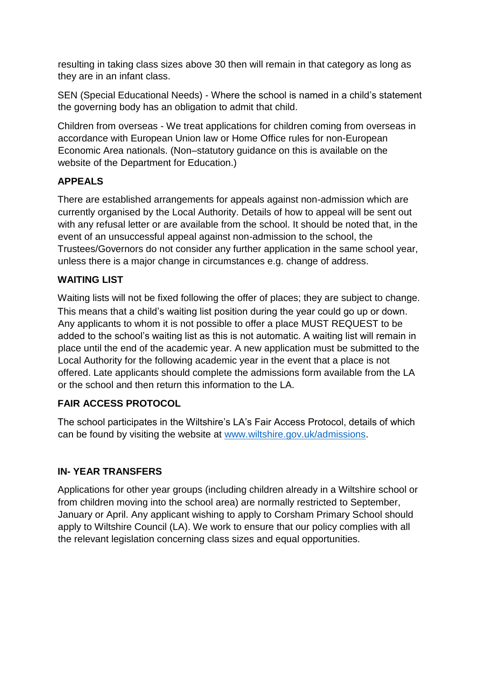resulting in taking class sizes above 30 then will remain in that category as long as they are in an infant class.

SEN (Special Educational Needs) - Where the school is named in a child's statement the governing body has an obligation to admit that child.

Children from overseas - We treat applications for children coming from overseas in accordance with European Union law or Home Office rules for non-European Economic Area nationals. (Non–statutory guidance on this is available on the website of the Department for Education.)

# **APPEALS**

There are established arrangements for appeals against non-admission which are currently organised by the Local Authority. Details of how to appeal will be sent out with any refusal letter or are available from the school. It should be noted that, in the event of an unsuccessful appeal against non-admission to the school, the Trustees/Governors do not consider any further application in the same school year, unless there is a major change in circumstances e.g. change of address.

# **WAITING LIST**

Waiting lists will not be fixed following the offer of places; they are subject to change. This means that a child's waiting list position during the year could go up or down. Any applicants to whom it is not possible to offer a place MUST REQUEST to be added to the school's waiting list as this is not automatic. A waiting list will remain in place until the end of the academic year. A new application must be submitted to the Local Authority for the following academic year in the event that a place is not offered. Late applicants should complete the admissions form available from the LA or the school and then return this information to the LA.

# **FAIR ACCESS PROTOCOL**

The school participates in the Wiltshire's LA's Fair Access Protocol, details of which can be found by visiting the website at [www.wiltshire.gov.uk/admissions.](http://www.wiltshire.gov.uk/admissions) 

# **IN- YEAR TRANSFERS**

Applications for other year groups (including children already in a Wiltshire school or from children moving into the school area) are normally restricted to September, January or April. Any applicant wishing to apply to Corsham Primary School should apply to Wiltshire Council (LA). We work to ensure that our policy complies with all the relevant legislation concerning class sizes and equal opportunities.